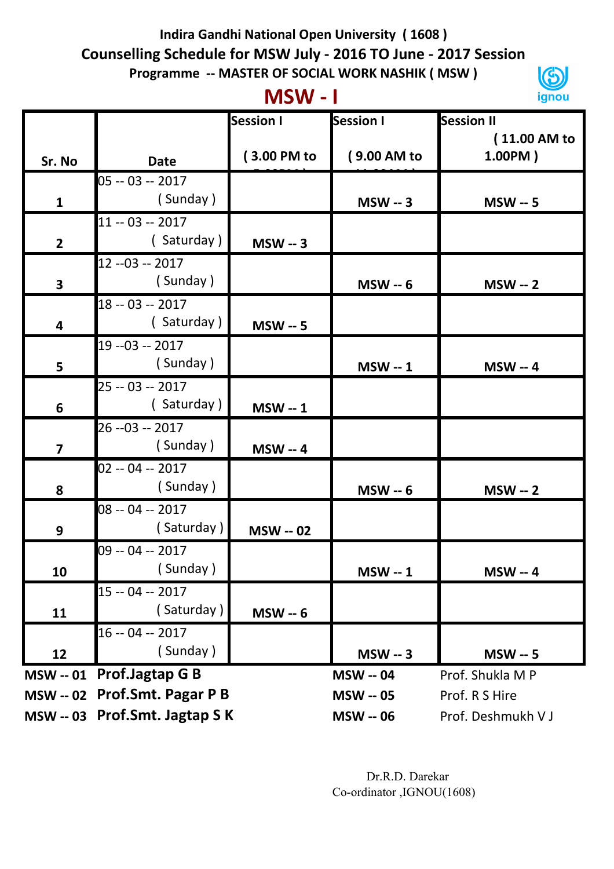## **Indira Gandhi National Open University ( 1608 ) Counselling Schedule for MSW July - 2016 TO June - 2017 Session Programme -- MASTER OF SOCIAL WORK NASHIK ( MSW )**

## **MSW - I**



|                         |                               | <b>Session I</b> | <b>Session I</b> | <b>Session II</b>  |
|-------------------------|-------------------------------|------------------|------------------|--------------------|
|                         |                               |                  |                  | (11.00 AM to       |
|                         |                               |                  |                  |                    |
| Sr. No                  | <b>Date</b>                   | (3.00 PM to      | (9.00 AM to      | 1.00PM)            |
|                         | 05 -- 03 -- 2017              |                  |                  |                    |
| $\mathbf{1}$            | (Sunday)                      |                  | $MSW - 3$        | <b>MSW -- 5</b>    |
|                         | $11 - 03 - 2017$              |                  |                  |                    |
| $\overline{2}$          | (Saturday)                    | <b>MSW -- 3</b>  |                  |                    |
|                         | 12 --03 -- 2017               |                  |                  |                    |
| $\overline{\mathbf{3}}$ | (Sunday)                      |                  | <b>MSW -- 6</b>  | $MSW - 2$          |
|                         | 18 -- 03 -- 2017              |                  |                  |                    |
| $\overline{\mathbf{4}}$ | (Saturday)                    | <b>MSW -- 5</b>  |                  |                    |
|                         | 19 -- 03 -- 2017              |                  |                  |                    |
| 5                       | (Sunday)                      |                  | <b>MSW -- 1</b>  | <b>MSW -- 4</b>    |
|                         | 25 -- 03 -- 2017              |                  |                  |                    |
| $6\phantom{1}6$         | (Saturday)                    | <b>MSW -- 1</b>  |                  |                    |
|                         | 26 --03 -- 2017               |                  |                  |                    |
| $\overline{\mathbf{z}}$ | (Sunday)                      | <b>MSW -- 4</b>  |                  |                    |
|                         | $02 - 04 - 2017$              |                  |                  |                    |
| 8                       | (Sunday)                      |                  | <b>MSW -- 6</b>  | $MSW - 2$          |
|                         | 08 -- 04 -- 2017              |                  |                  |                    |
| 9                       | (Saturday)                    | <b>MSW -- 02</b> |                  |                    |
|                         | 09 -- 04 -- 2017              |                  |                  |                    |
| 10                      | (Sunday)                      |                  | <b>MSW -- 1</b>  | <b>MSW -- 4</b>    |
|                         | $15 - 04 - 2017$              |                  |                  |                    |
| 11                      | (Saturday)                    | <b>MSW -- 6</b>  |                  |                    |
|                         | $16 - 04 - 2017$              |                  |                  |                    |
| 12                      | (Sunday)                      |                  | <b>MSW -- 3</b>  | <b>MSW -- 5</b>    |
|                         | MSW -- 01 Prof.Jagtap G B     |                  | <b>MSW -- 04</b> | Prof. Shukla M P   |
| <b>MSW -- 02</b>        | <b>Prof.Smt. Pagar P B</b>    |                  | <b>MSW -- 05</b> | Prof. R S Hire     |
|                         | MSW -- 03 Prof.Smt. Jagtap SK |                  | <b>MSW -- 06</b> | Prof. Deshmukh V J |